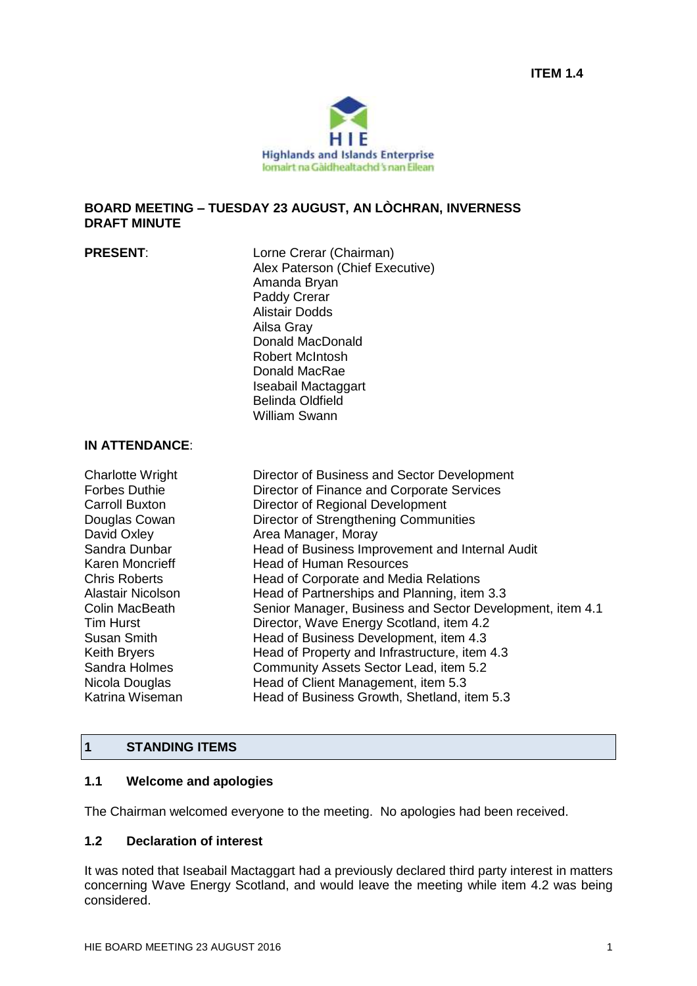

#### **BOARD MEETING – TUESDAY 23 AUGUST, AN LÒCHRAN, INVERNESS DRAFT MINUTE**

| <b>PRESENT:</b>                                                                                                                                                                                                                                                                                      | Lorne Crerar (Chairman)<br>Alex Paterson (Chief Executive)<br>Amanda Bryan<br>Paddy Crerar<br><b>Alistair Dodds</b><br>Ailsa Gray<br>Donald MacDonald<br><b>Robert McIntosh</b><br>Donald MacRae<br>Iseabail Mactaggart<br><b>Belinda Oldfield</b><br><b>William Swann</b>                                                                                                                                                                                                                                                                                                                                               |
|------------------------------------------------------------------------------------------------------------------------------------------------------------------------------------------------------------------------------------------------------------------------------------------------------|--------------------------------------------------------------------------------------------------------------------------------------------------------------------------------------------------------------------------------------------------------------------------------------------------------------------------------------------------------------------------------------------------------------------------------------------------------------------------------------------------------------------------------------------------------------------------------------------------------------------------|
| <b>IN ATTENDANCE:</b>                                                                                                                                                                                                                                                                                |                                                                                                                                                                                                                                                                                                                                                                                                                                                                                                                                                                                                                          |
| <b>Charlotte Wright</b><br><b>Forbes Duthie</b><br><b>Carroll Buxton</b><br>Douglas Cowan<br>David Oxley<br>Sandra Dunbar<br>Karen Moncrieff<br><b>Chris Roberts</b><br>Alastair Nicolson<br><b>Colin MacBeath</b><br><b>Tim Hurst</b><br><b>Susan Smith</b><br><b>Keith Bryers</b><br>Sandra Holmes | Director of Business and Sector Development<br>Director of Finance and Corporate Services<br>Director of Regional Development<br>Director of Strengthening Communities<br>Area Manager, Moray<br>Head of Business Improvement and Internal Audit<br><b>Head of Human Resources</b><br>Head of Corporate and Media Relations<br>Head of Partnerships and Planning, item 3.3<br>Senior Manager, Business and Sector Development, item 4.1<br>Director, Wave Energy Scotland, item 4.2<br>Head of Business Development, item 4.3<br>Head of Property and Infrastructure, item 4.3<br>Community Assets Sector Lead, item 5.2 |

#### **1 STANDING ITEMS**

#### **1.1 Welcome and apologies**

The Chairman welcomed everyone to the meeting. No apologies had been received.

Nicola Douglas **Head of Client Management, item 5.3** 

Katrina Wiseman Head of Business Growth, Shetland, item 5.3

#### **1.2 Declaration of interest**

It was noted that Iseabail Mactaggart had a previously declared third party interest in matters concerning Wave Energy Scotland, and would leave the meeting while item 4.2 was being considered.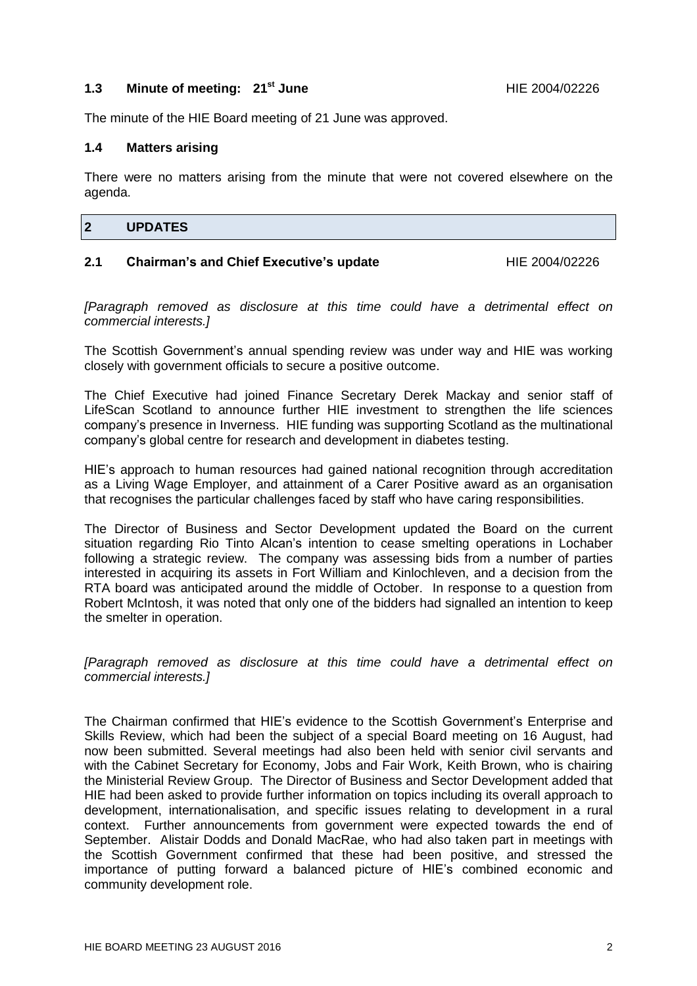#### **1.3 Minute of meeting: 21<sup>st</sup> June 1.3 HIE 2004/02226**

The minute of the HIE Board meeting of 21 June was approved.

#### **1.4 Matters arising**

There were no matters arising from the minute that were not covered elsewhere on the agenda.

## **2 UPDATES**

#### **2.1 Chairman's and Chief Executive's update** HIE 2004/02226

*[Paragraph removed as disclosure at this time could have a detrimental effect on commercial interests.]*

The Scottish Government's annual spending review was under way and HIE was working closely with government officials to secure a positive outcome.

The Chief Executive had joined Finance Secretary Derek Mackay and senior staff of LifeScan Scotland to announce further HIE investment to strengthen the life sciences company's presence in Inverness. HIE funding was supporting Scotland as the multinational company's global centre for research and development in diabetes testing.

HIE's approach to human resources had gained national recognition through accreditation as a Living Wage Employer, and attainment of a Carer Positive award as an organisation that recognises the particular challenges faced by staff who have caring responsibilities.

The Director of Business and Sector Development updated the Board on the current situation regarding Rio Tinto Alcan's intention to cease smelting operations in Lochaber following a strategic review. The company was assessing bids from a number of parties interested in acquiring its assets in Fort William and Kinlochleven, and a decision from the RTA board was anticipated around the middle of October. In response to a question from Robert McIntosh, it was noted that only one of the bidders had signalled an intention to keep the smelter in operation.

*[Paragraph removed as disclosure at this time could have a detrimental effect on commercial interests.]*

The Chairman confirmed that HIE's evidence to the Scottish Government's Enterprise and Skills Review, which had been the subject of a special Board meeting on 16 August, had now been submitted. Several meetings had also been held with senior civil servants and with the Cabinet Secretary for Economy, Jobs and Fair Work, Keith Brown, who is chairing the Ministerial Review Group. The Director of Business and Sector Development added that HIE had been asked to provide further information on topics including its overall approach to development, internationalisation, and specific issues relating to development in a rural context. Further announcements from government were expected towards the end of September. Alistair Dodds and Donald MacRae, who had also taken part in meetings with the Scottish Government confirmed that these had been positive, and stressed the importance of putting forward a balanced picture of HIE's combined economic and community development role.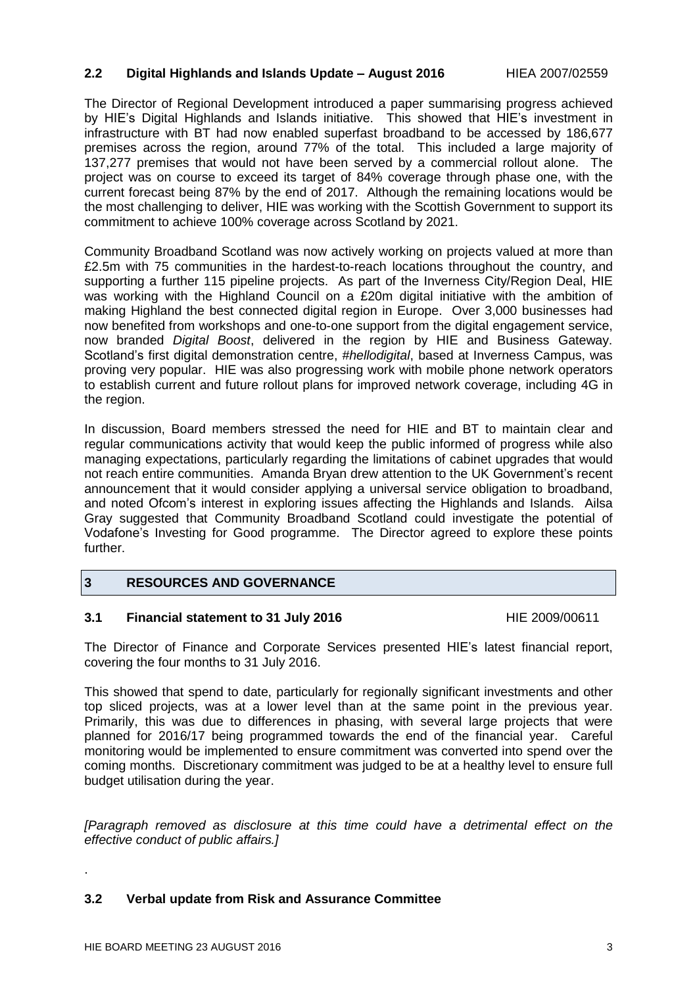#### **2.2 Digital Highlands and Islands Update – August 2016** HIEA 2007/02559

The Director of Regional Development introduced a paper summarising progress achieved by HIE's Digital Highlands and Islands initiative. This showed that HIE's investment in infrastructure with BT had now enabled superfast broadband to be accessed by 186,677 premises across the region, around 77% of the total. This included a large majority of 137,277 premises that would not have been served by a commercial rollout alone. The project was on course to exceed its target of 84% coverage through phase one, with the current forecast being 87% by the end of 2017. Although the remaining locations would be the most challenging to deliver, HIE was working with the Scottish Government to support its commitment to achieve 100% coverage across Scotland by 2021.

Community Broadband Scotland was now actively working on projects valued at more than £2.5m with 75 communities in the hardest-to-reach locations throughout the country, and supporting a further 115 pipeline projects. As part of the Inverness City/Region Deal, HIE was working with the Highland Council on a £20m digital initiative with the ambition of making Highland the best connected digital region in Europe. Over 3,000 businesses had now benefited from workshops and one-to-one support from the digital engagement service, now branded *Digital Boost*, delivered in the region by HIE and Business Gateway. Scotland's first digital demonstration centre, *#hellodigital*, based at Inverness Campus, was proving very popular. HIE was also progressing work with mobile phone network operators to establish current and future rollout plans for improved network coverage, including 4G in the region.

In discussion, Board members stressed the need for HIE and BT to maintain clear and regular communications activity that would keep the public informed of progress while also managing expectations, particularly regarding the limitations of cabinet upgrades that would not reach entire communities. Amanda Bryan drew attention to the UK Government's recent announcement that it would consider applying a universal service obligation to broadband, and noted Ofcom's interest in exploring issues affecting the Highlands and Islands. Ailsa Gray suggested that Community Broadband Scotland could investigate the potential of Vodafone's Investing for Good programme. The Director agreed to explore these points further.

#### **3 RESOURCES AND GOVERNANCE**

#### **3.1 Financial statement to 31 July 2016** HIE 2009/00611

The Director of Finance and Corporate Services presented HIE's latest financial report, covering the four months to 31 July 2016.

This showed that spend to date, particularly for regionally significant investments and other top sliced projects, was at a lower level than at the same point in the previous year. Primarily, this was due to differences in phasing, with several large projects that were planned for 2016/17 being programmed towards the end of the financial year. Careful monitoring would be implemented to ensure commitment was converted into spend over the coming months. Discretionary commitment was judged to be at a healthy level to ensure full budget utilisation during the year.

*[Paragraph removed as disclosure at this time could have a detrimental effect on the effective conduct of public affairs.]*

#### **3.2 Verbal update from Risk and Assurance Committee**

.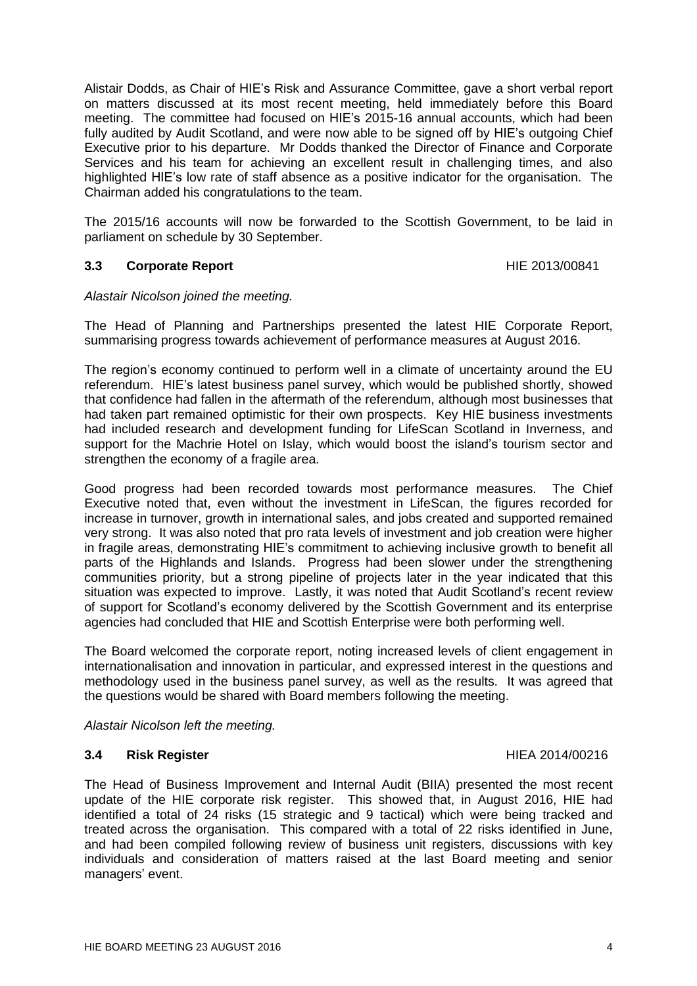HIE BOARD MEETING 23 AUGUST 2016 4

The Head of Business Improvement and Internal Audit (BIIA) presented the most recent update of the HIE corporate risk register. This showed that, in August 2016, HIE had identified a total of 24 risks (15 strategic and 9 tactical) which were being tracked and treated across the organisation. This compared with a total of 22 risks identified in June, and had been compiled following review of business unit registers, discussions with key individuals and consideration of matters raised at the last Board meeting and senior managers' event.

*Alastair Nicolson left the meeting.*

#### **3.4 Risk Register** HIEA 2014/00216

internationalisation and innovation in particular, and expressed interest in the questions and methodology used in the business panel survey, as well as the results. It was agreed that the questions would be shared with Board members following the meeting.

situation was expected to improve. Lastly, it was noted that Audit Scotland's recent review of support for Scotland's economy delivered by the Scottish Government and its enterprise agencies had concluded that HIE and Scottish Enterprise were both performing well. The Board welcomed the corporate report, noting increased levels of client engagement in

strengthen the economy of a fragile area. Good progress had been recorded towards most performance measures. The Chief Executive noted that, even without the investment in LifeScan, the figures recorded for increase in turnover, growth in international sales, and jobs created and supported remained very strong. It was also noted that pro rata levels of investment and job creation were higher in fragile areas, demonstrating HIE's commitment to achieving inclusive growth to benefit all

parts of the Highlands and Islands. Progress had been slower under the strengthening communities priority, but a strong pipeline of projects later in the year indicated that this

The region's economy continued to perform well in a climate of uncertainty around the EU referendum. HIE's latest business panel survey, which would be published shortly, showed that confidence had fallen in the aftermath of the referendum, although most businesses that had taken part remained optimistic for their own prospects. Key HIE business investments had included research and development funding for LifeScan Scotland in Inverness, and support for the Machrie Hotel on Islay, which would boost the island's tourism sector and

The Head of Planning and Partnerships presented the latest HIE Corporate Report, summarising progress towards achievement of performance measures at August 2016.

# *Alastair Nicolson joined the meeting.*

Alistair Dodds, as Chair of HIE's Risk and Assurance Committee, gave a short verbal report on matters discussed at its most recent meeting, held immediately before this Board meeting. The committee had focused on HIE's 2015-16 annual accounts, which had been fully audited by Audit Scotland, and were now able to be signed off by HIE's outgoing Chief Executive prior to his departure. Mr Dodds thanked the Director of Finance and Corporate Services and his team for achieving an excellent result in challenging times, and also highlighted HIE's low rate of staff absence as a positive indicator for the organisation. The Chairman added his congratulations to the team.

The 2015/16 accounts will now be forwarded to the Scottish Government, to be laid in parliament on schedule by 30 September.

### **3.3 Corporate Report Community Community Community Community Community Community Community Community Community Community Community Community Community Community Community Community Community Community Community Communit**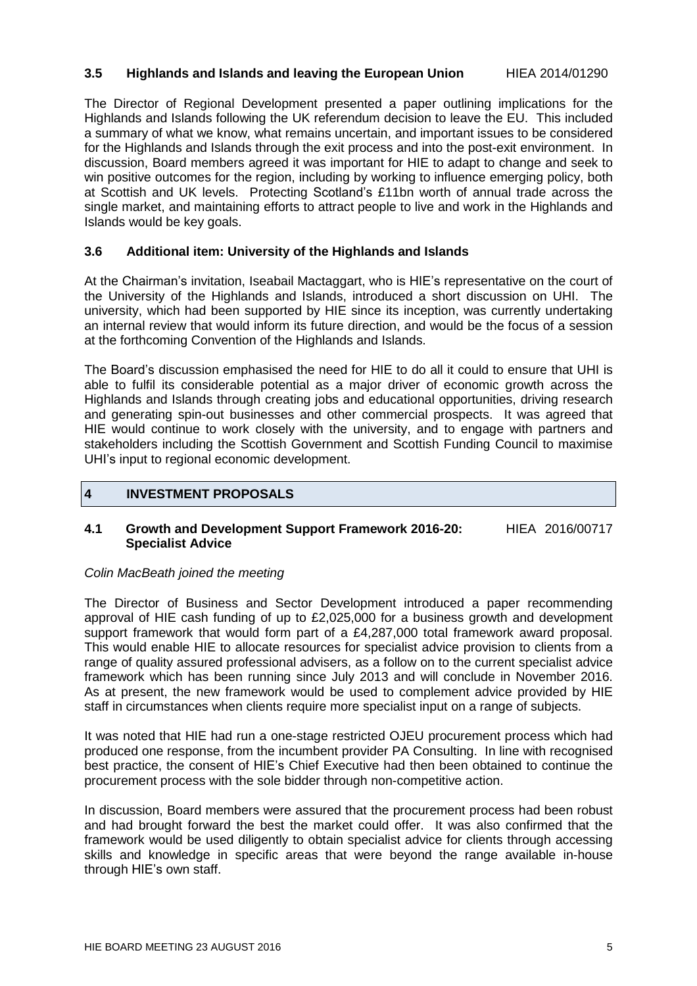#### **3.5 Highlands and Islands and leaving the European Union** HIEA 2014/01290

The Director of Regional Development presented a paper outlining implications for the Highlands and Islands following the UK referendum decision to leave the EU. This included a summary of what we know, what remains uncertain, and important issues to be considered for the Highlands and Islands through the exit process and into the post-exit environment. In discussion, Board members agreed it was important for HIE to adapt to change and seek to win positive outcomes for the region, including by working to influence emerging policy, both at Scottish and UK levels. Protecting Scotland's £11bn worth of annual trade across the single market, and maintaining efforts to attract people to live and work in the Highlands and Islands would be key goals.

#### **3.6 Additional item: University of the Highlands and Islands**

At the Chairman's invitation, Iseabail Mactaggart, who is HIE's representative on the court of the University of the Highlands and Islands, introduced a short discussion on UHI. The university, which had been supported by HIE since its inception, was currently undertaking an internal review that would inform its future direction, and would be the focus of a session at the forthcoming Convention of the Highlands and Islands.

The Board's discussion emphasised the need for HIE to do all it could to ensure that UHI is able to fulfil its considerable potential as a major driver of economic growth across the Highlands and Islands through creating jobs and educational opportunities, driving research and generating spin-out businesses and other commercial prospects. It was agreed that HIE would continue to work closely with the university, and to engage with partners and stakeholders including the Scottish Government and Scottish Funding Council to maximise UHI's input to regional economic development.

#### **4 INVESTMENT PROPOSALS**

#### **4.1 Growth and Development Support Framework 2016-20:** HIEA 2016/00717 **Specialist Advice**

#### *Colin MacBeath joined the meeting*

The Director of Business and Sector Development introduced a paper recommending approval of HIE cash funding of up to £2,025,000 for a business growth and development support framework that would form part of a £4,287,000 total framework award proposal. This would enable HIE to allocate resources for specialist advice provision to clients from a range of quality assured professional advisers, as a follow on to the current specialist advice framework which has been running since July 2013 and will conclude in November 2016. As at present, the new framework would be used to complement advice provided by HIE staff in circumstances when clients require more specialist input on a range of subjects.

It was noted that HIE had run a one-stage restricted OJEU procurement process which had produced one response, from the incumbent provider PA Consulting. In line with recognised best practice, the consent of HIE's Chief Executive had then been obtained to continue the procurement process with the sole bidder through non-competitive action.

In discussion, Board members were assured that the procurement process had been robust and had brought forward the best the market could offer. It was also confirmed that the framework would be used diligently to obtain specialist advice for clients through accessing skills and knowledge in specific areas that were beyond the range available in-house through HIE's own staff.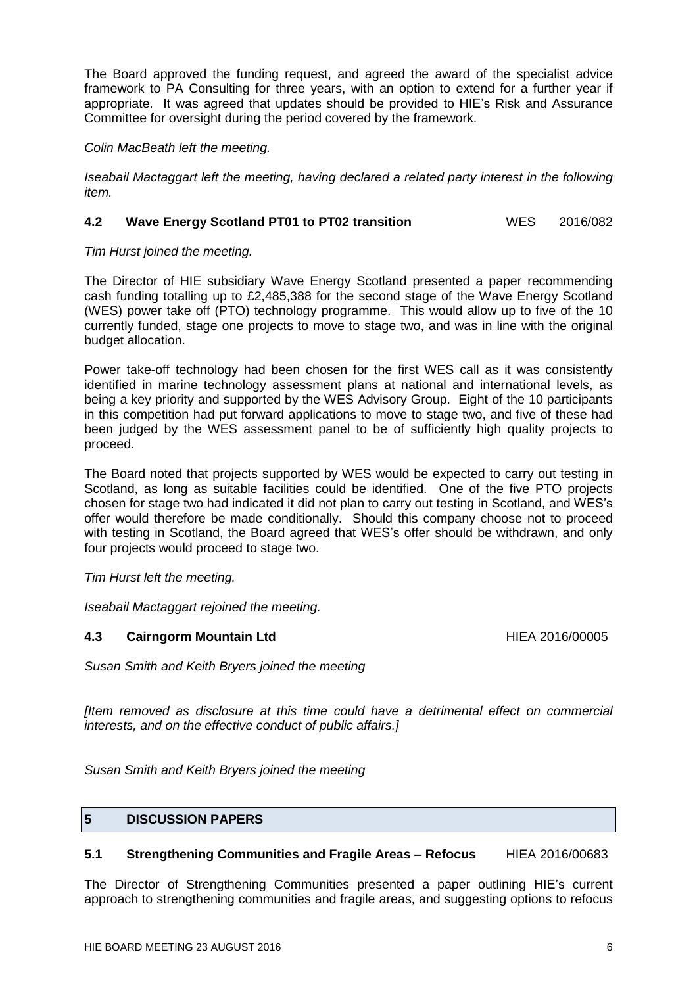The Board approved the funding request, and agreed the award of the specialist advice framework to PA Consulting for three years, with an option to extend for a further year if appropriate. It was agreed that updates should be provided to HIE's Risk and Assurance Committee for oversight during the period covered by the framework.

#### *Colin MacBeath left the meeting.*

*Iseabail Mactaggart left the meeting, having declared a related party interest in the following item.*

#### **4.2 Wave Energy Scotland PT01 to PT02 transition** WES 2016/082

#### *Tim Hurst joined the meeting.*

The Director of HIE subsidiary Wave Energy Scotland presented a paper recommending cash funding totalling up to £2,485,388 for the second stage of the Wave Energy Scotland (WES) power take off (PTO) technology programme. This would allow up to five of the 10 currently funded, stage one projects to move to stage two, and was in line with the original budget allocation.

Power take-off technology had been chosen for the first WES call as it was consistently identified in marine technology assessment plans at national and international levels, as being a key priority and supported by the WES Advisory Group. Eight of the 10 participants in this competition had put forward applications to move to stage two, and five of these had been judged by the WES assessment panel to be of sufficiently high quality projects to proceed.

The Board noted that projects supported by WES would be expected to carry out testing in Scotland, as long as suitable facilities could be identified. One of the five PTO projects chosen for stage two had indicated it did not plan to carry out testing in Scotland, and WES's offer would therefore be made conditionally. Should this company choose not to proceed with testing in Scotland, the Board agreed that WES's offer should be withdrawn, and only four projects would proceed to stage two.

*Tim Hurst left the meeting.*

*Iseabail Mactaggart rejoined the meeting.*

#### **4.3 Cairngorm Mountain Ltd HIEA 2016/00005**

*Susan Smith and Keith Bryers joined the meeting*

*[Item removed as disclosure at this time could have a detrimental effect on commercial interests, and on the effective conduct of public affairs.]*

*Susan Smith and Keith Bryers joined the meeting*

#### **5 DISCUSSION PAPERS**

#### **5.1 Strengthening Communities and Fragile Areas – Refocus** HIEA 2016/00683

The Director of Strengthening Communities presented a paper outlining HIE's current approach to strengthening communities and fragile areas, and suggesting options to refocus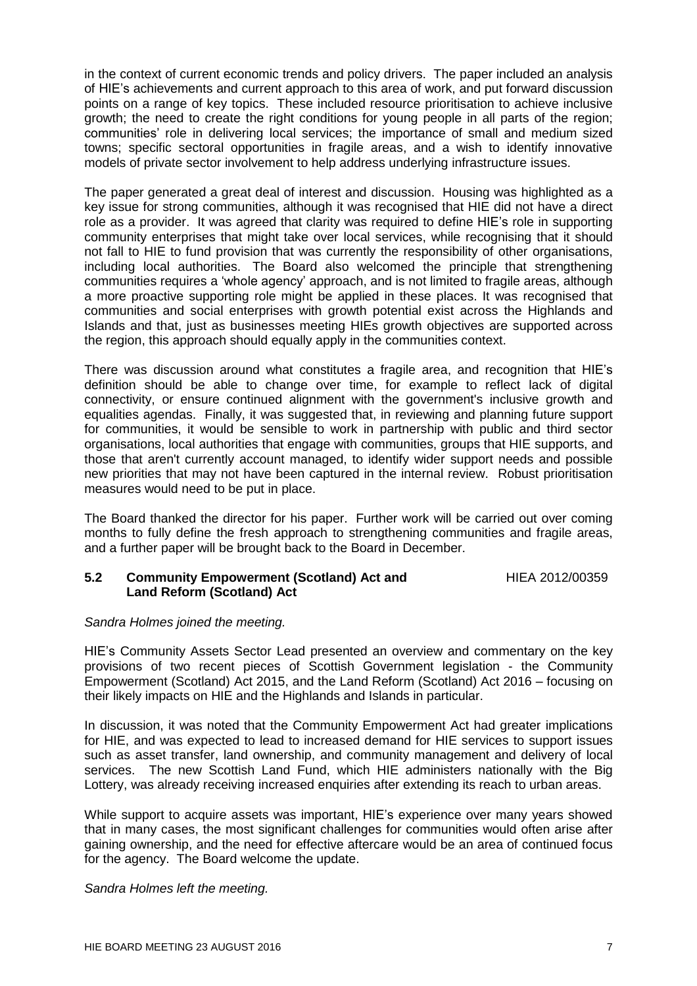in the context of current economic trends and policy drivers. The paper included an analysis of HIE's achievements and current approach to this area of work, and put forward discussion points on a range of key topics. These included resource prioritisation to achieve inclusive growth; the need to create the right conditions for young people in all parts of the region; communities' role in delivering local services; the importance of small and medium sized towns; specific sectoral opportunities in fragile areas, and a wish to identify innovative models of private sector involvement to help address underlying infrastructure issues.

The paper generated a great deal of interest and discussion. Housing was highlighted as a key issue for strong communities, although it was recognised that HIE did not have a direct role as a provider. It was agreed that clarity was required to define HIE's role in supporting community enterprises that might take over local services, while recognising that it should not fall to HIE to fund provision that was currently the responsibility of other organisations, including local authorities. The Board also welcomed the principle that strengthening communities requires a 'whole agency' approach, and is not limited to fragile areas, although a more proactive supporting role might be applied in these places. It was recognised that communities and social enterprises with growth potential exist across the Highlands and Islands and that, just as businesses meeting HIEs growth objectives are supported across the region, this approach should equally apply in the communities context.

There was discussion around what constitutes a fragile area, and recognition that HIE's definition should be able to change over time, for example to reflect lack of digital connectivity, or ensure continued alignment with the government's inclusive growth and equalities agendas. Finally, it was suggested that, in reviewing and planning future support for communities, it would be sensible to work in partnership with public and third sector organisations, local authorities that engage with communities, groups that HIE supports, and those that aren't currently account managed, to identify wider support needs and possible new priorities that may not have been captured in the internal review. Robust prioritisation measures would need to be put in place.

The Board thanked the director for his paper. Further work will be carried out over coming months to fully define the fresh approach to strengthening communities and fragile areas, and a further paper will be brought back to the Board in December.

#### **5.2 Community Empowerment (Scotland) Act and** HIEA 2012/00359 **Land Reform (Scotland) Act**

*Sandra Holmes joined the meeting.*

HIE's Community Assets Sector Lead presented an overview and commentary on the key provisions of two recent pieces of Scottish Government legislation - the Community Empowerment (Scotland) Act 2015, and the Land Reform (Scotland) Act 2016 – focusing on their likely impacts on HIE and the Highlands and Islands in particular.

In discussion, it was noted that the Community Empowerment Act had greater implications for HIE, and was expected to lead to increased demand for HIE services to support issues such as asset transfer, land ownership, and community management and delivery of local services. The new Scottish Land Fund, which HIE administers nationally with the Big Lottery, was already receiving increased enquiries after extending its reach to urban areas.

While support to acquire assets was important, HIE's experience over many years showed that in many cases, the most significant challenges for communities would often arise after gaining ownership, and the need for effective aftercare would be an area of continued focus for the agency. The Board welcome the update.

*Sandra Holmes left the meeting.*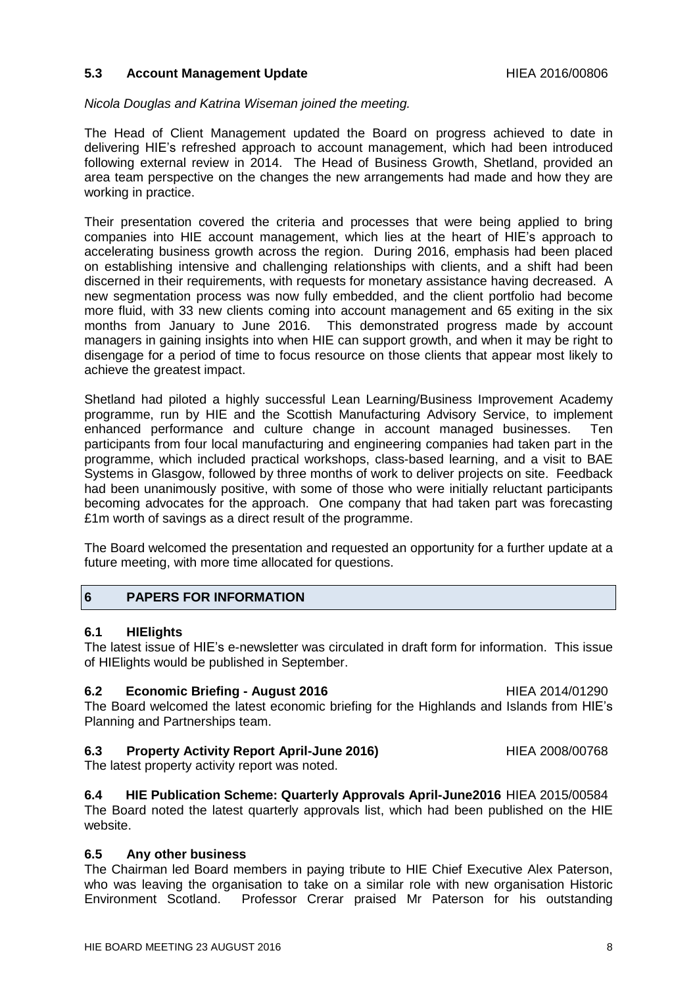#### **5.3 Account Management Update HIEA 2016/00806**

#### *Nicola Douglas and Katrina Wiseman joined the meeting.*

The Head of Client Management updated the Board on progress achieved to date in delivering HIE's refreshed approach to account management, which had been introduced following external review in 2014. The Head of Business Growth, Shetland, provided an area team perspective on the changes the new arrangements had made and how they are working in practice.

Their presentation covered the criteria and processes that were being applied to bring companies into HIE account management, which lies at the heart of HIE's approach to accelerating business growth across the region. During 2016, emphasis had been placed on establishing intensive and challenging relationships with clients, and a shift had been discerned in their requirements, with requests for monetary assistance having decreased. A new segmentation process was now fully embedded, and the client portfolio had become more fluid, with 33 new clients coming into account management and 65 exiting in the six months from January to June 2016. This demonstrated progress made by account managers in gaining insights into when HIE can support growth, and when it may be right to disengage for a period of time to focus resource on those clients that appear most likely to achieve the greatest impact.

Shetland had piloted a highly successful Lean Learning/Business Improvement Academy programme, run by HIE and the Scottish Manufacturing Advisory Service, to implement enhanced performance and culture change in account managed businesses. Ten participants from four local manufacturing and engineering companies had taken part in the programme, which included practical workshops, class-based learning, and a visit to BAE Systems in Glasgow, followed by three months of work to deliver projects on site. Feedback had been unanimously positive, with some of those who were initially reluctant participants becoming advocates for the approach. One company that had taken part was forecasting £1m worth of savings as a direct result of the programme.

The Board welcomed the presentation and requested an opportunity for a further update at a future meeting, with more time allocated for questions.

#### **6 PAPERS FOR INFORMATION**

#### **6.1 HIElights**

The latest issue of HIE's e-newsletter was circulated in draft form for information. This issue of HIElights would be published in September.

**6.2 Economic Briefing - August 2016** HIEA 2014/01290 The Board welcomed the latest economic briefing for the Highlands and Islands from HIE's Planning and Partnerships team.

#### **6.3 Property Activity Report April-June 2016)** HIEA 2008/00768

The latest property activity report was noted.

#### **6.4 HIE Publication Scheme: Quarterly Approvals April-June2016** HIEA 2015/00584

The Board noted the latest quarterly approvals list, which had been published on the HIE website.

#### **6.5 Any other business**

The Chairman led Board members in paying tribute to HIE Chief Executive Alex Paterson, who was leaving the organisation to take on a similar role with new organisation Historic Environment Scotland. Professor Crerar praised Mr Paterson for his outstanding